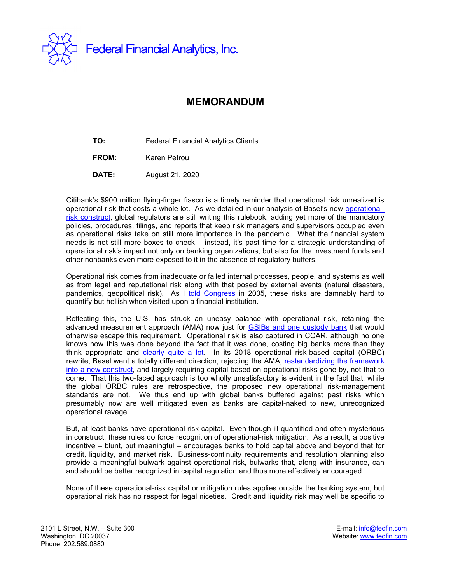

## **MEMORANDUM**

**TO:** Federal Financial Analytics Clients

**FROM:** Karen Petrou

**DATE:** August 21, 2020

Citibank's \$900 million flying-finger fiasco is a timely reminder that operational risk unrealized is operational risk that costs a whole lot. As we detailed in our analysis of Basel's new [operational](https://fedfin.com/wp-content/uploads/2020/08/OPSRISK21.pdf)[risk construct,](https://fedfin.com/wp-content/uploads/2020/08/OPSRISK21.pdf) global regulators are still writing this rulebook, adding yet more of the mandatory policies, procedures, filings, and reports that keep risk managers and supervisors occupied even as operational risks take on still more importance in the pandemic. What the financial system needs is not still more boxes to check – instead, it's past time for a strategic understanding of operational risk's impact not only on banking organizations, but also for the investment funds and other nonbanks even more exposed to it in the absence of regulatory buffers.

Operational risk comes from inadequate or failed internal processes, people, and systems as well as from legal and reputational risk along with that posed by external events (natural disasters, pandemics, geopolitical risk). As I told [Congress](https://fedfin.com/images/stories/press_center/Testimony_Basel_5-11-2005.pdf) in 2005, these risks are damnably hard to quantify but hellish when visited upon a financial institution.

Reflecting this, the U.S. has struck an uneasy balance with operational risk, retaining the advanced measurement approach (AMA) now just for [GSIBs and one custody bank](https://www.govinfo.gov/content/pkg/FR-2019-11-01/pdf/2019-23800.pdf) that would otherwise escape this requirement. Operational risk is also captured in CCAR, although no one knows how this was done beyond the fact that it was done, costing big banks more than they think appropriate and [clearly quite a lot.](https://bpi.com/operational-risk-and-the-federal-reserves-stress-test-time-for-a-reality-check/) In its 2018 operational risk-based capital (ORBC) rewrite, Basel went a totally different direction, rejecting the AMA, [restandardizing the framework](https://fedfin.com/wp-content/uploads/2018/01/opsrisk20.pdf)  [into a new construct,](https://fedfin.com/wp-content/uploads/2018/01/opsrisk20.pdf) and largely requiring capital based on operational risks gone by, not that to come. That this two-faced approach is too wholly unsatisfactory is evident in the fact that, while the global ORBC rules are retrospective, the proposed new operational risk-management standards are not. We thus end up with global banks buffered against past risks which presumably now are well mitigated even as banks are capital-naked to new, unrecognized operational ravage.

But, at least banks have operational risk capital. Even though ill-quantified and often mysterious in construct, these rules do force recognition of operational-risk mitigation. As a result, a positive incentive – blunt, but meaningful – encourages banks to hold capital above and beyond that for credit, liquidity, and market risk. Business-continuity requirements and resolution planning also provide a meaningful bulwark against operational risk, bulwarks that, along with insurance, can and should be better recognized in capital regulation and thus more effectively encouraged.

None of these operational-risk capital or mitigation rules applies outside the banking system, but operational risk has no respect for legal niceties. Credit and liquidity risk may well be specific to